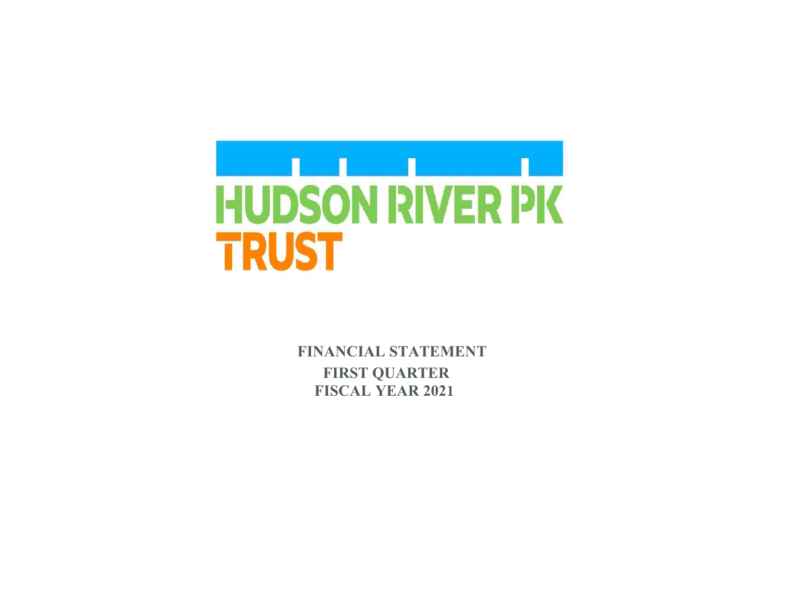

**FINANCIAL STATEMENT FIRST QUARTER FISCAL YEAR 2021**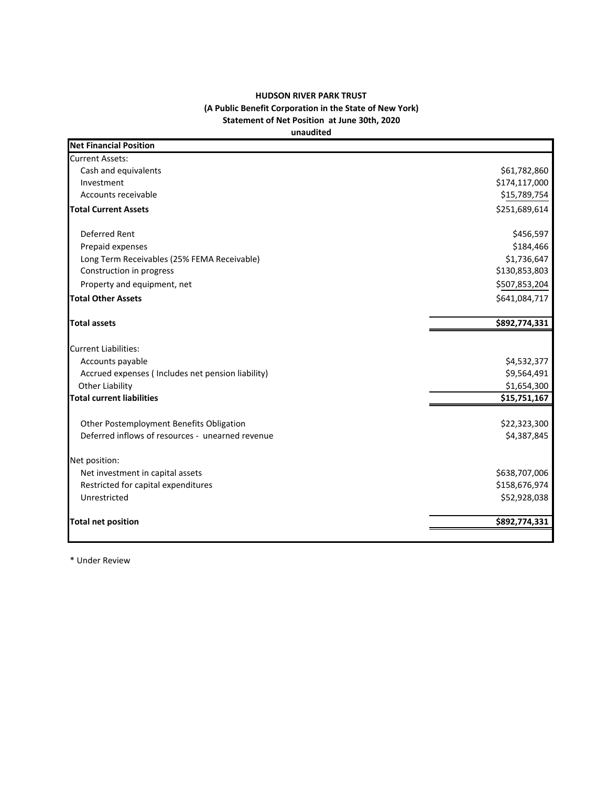## **HUDSON RIVER PARK TRUST (A Public Benefit Corporation in the State of New York) Statement of Net Position at June 30th, 2020 unaudited**

| <b>Net Financial Position</b>                     |               |
|---------------------------------------------------|---------------|
| <b>Current Assets:</b>                            |               |
| Cash and equivalents                              | \$61,782,860  |
| Investment                                        | \$174,117,000 |
| Accounts receivable                               | \$15,789,754  |
| <b>Total Current Assets</b>                       | \$251,689,614 |
| Deferred Rent                                     | \$456,597     |
| Prepaid expenses                                  | \$184,466     |
| Long Term Receivables (25% FEMA Receivable)       | \$1,736,647   |
| Construction in progress                          | \$130,853,803 |
| Property and equipment, net                       | \$507,853,204 |
| <b>Total Other Assets</b>                         | \$641,084,717 |
| <b>Total assets</b>                               | \$892,774,331 |
| <b>Current Liabilities:</b>                       |               |
| Accounts payable                                  | \$4,532,377   |
| Accrued expenses (Includes net pension liability) | \$9,564,491   |
| <b>Other Liability</b>                            | \$1,654,300   |
| <b>Total current liabilities</b>                  | \$15,751,167  |
| Other Postemployment Benefits Obligation          | \$22,323,300  |
| Deferred inflows of resources - unearned revenue  | \$4,387,845   |
| Net position:                                     |               |
| Net investment in capital assets                  | \$638,707,006 |
| Restricted for capital expenditures               | \$158,676,974 |
| Unrestricted                                      | \$52,928,038  |
| <b>Total net position</b>                         | \$892,774,331 |

\* Under Review